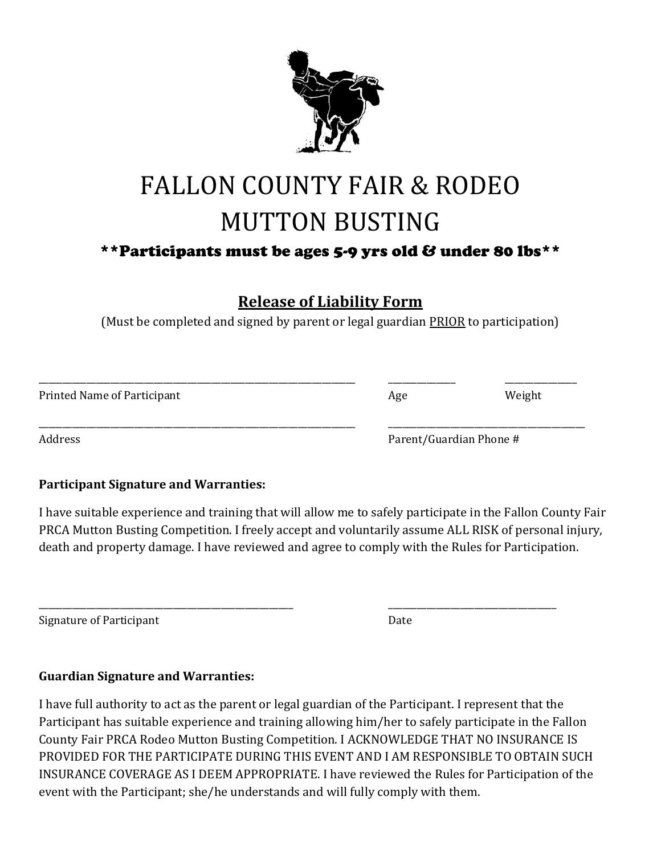

# FALLON COUNTY FAIR & RODEO MUTTON BUSTING

### \*\*Participants must be ages 5-9 yrs old & under 80 lbs\*\*

## **Release of Liability Form**

(Must be completed and signed by parent or legal guardian PRIOR to participation)

| Age | Weight                  |
|-----|-------------------------|
|     |                         |
|     | Parent/Guardian Phone # |

#### **Participant Signature and Warranties:**

I have suitable experience and training that will allow me to safely participate in the Fallon County Fair PRCA Mutton Busting Competition. I freely accept and voluntarily assume ALL RISK of personal injury, death and property damage. I have reviewed and agree to comply with the Rules for Participation.

\_\_\_\_\_\_\_\_\_\_\_\_\_\_\_\_\_\_\_\_\_\_\_\_\_\_\_\_\_\_\_\_\_\_\_\_\_\_\_\_\_\_\_\_\_\_\_\_\_\_\_\_\_ \_\_\_\_\_\_\_\_\_\_\_\_\_\_\_\_\_\_\_\_\_\_\_\_\_\_\_\_\_\_\_\_\_\_\_

| Signature of Participant | Date |
|--------------------------|------|
|                          |      |

#### **Guardian Signature and Warranties:**

I have full authority to act as the parent or legal guardian of the Participant. I represent that the Participant has suitable experience and training allowing him/her to safely participate in the Fallon County Fair PRCA Rodeo Mutton Busting Competition. I ACKNOWLEDGE THAT NO INSURANCE IS PROVIDED FOR THE PARTICIPATE DURING THIS EVENT AND I AM RESPONSIBLE TO OBTAIN SUCH INSURANCE COVERAGE AS I DEEM APPROPRIATE. I have reviewed the Rules for Participation of the event with the Participant; she/he understands and will fully comply with them.